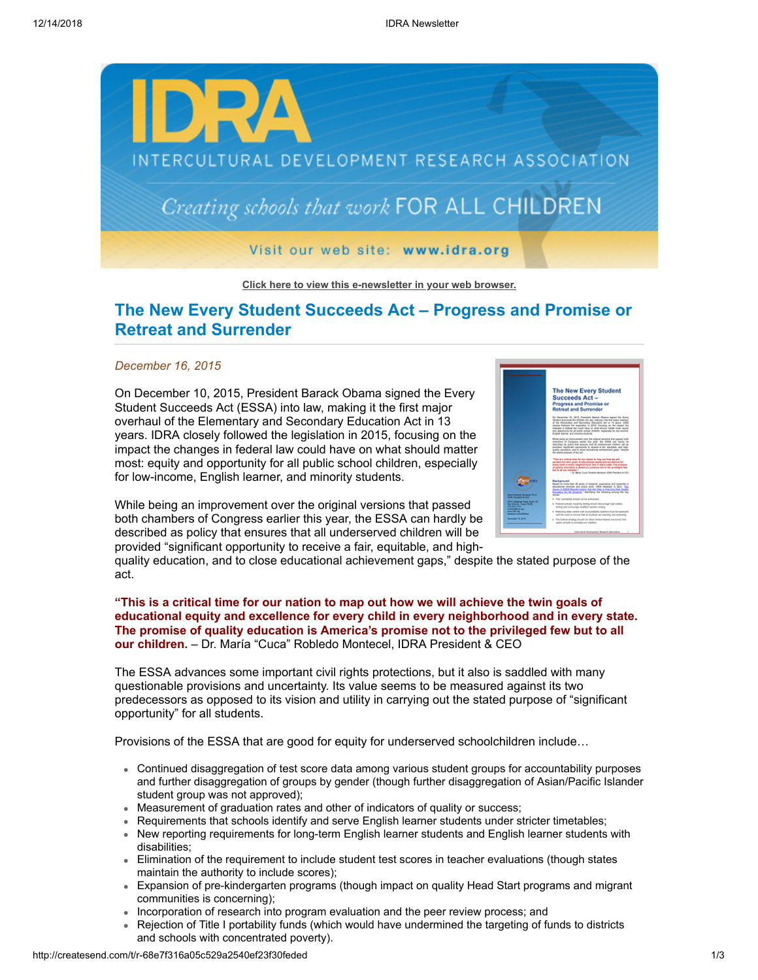

## **[Click here to view this e-newsletter in your web browser.](http://newsletter.impulsedevelopment.com/t/r-e-vpkhlt-l-r/)**

## **The New Every Student Succeeds Act – Progress and Promise or Retreat and Surrender**

### *December 16, 2015*

On December 10, 2015, President Barack Obama signed the Every Student Succeeds Act (ESSA) into law, making it the first major overhaul of the Elementary and Secondary Education Act in 13 years. IDRA closely followed the legislation in 2015, focusing on the impact the changes in federal law could have on what should matter most: equity and opportunity for all public school children, especially for low-income, English learner, and minority students.

While being an improvement over the original versions that passed both chambers of Congress earlier this year, the ESSA can hardly be described as policy that ensures that all underserved children will be provided "significant opportunity to receive a fair, equitable, and high-



quality education, and to close educational achievement gaps," despite the stated purpose of the act.

## **"This is a critical time for our nation to map out how we will achieve the twin goals of educational equity and excellence for every child in every neighborhood and in every state. The promise of quality education is America's promise not to the privileged few but to all our children.** – Dr. María "Cuca" Robledo Montecel, IDRA President & CEO

The ESSA advances some important civil rights protections, but it also is saddled with many questionable provisions and uncertainty. Its value seems to be measured against its two predecessors as opposed to its vision and utility in carrying out the stated purpose of "significant opportunity" for all students.

Provisions of the ESSA that are good for equity for underserved schoolchildren include…

- Continued disaggregation of test score data among various student groups for accountability purposes and further disaggregation of groups by gender (though further disaggregation of Asian/Pacific Islander student group was not approved);
- Measurement of graduation rates and other of indicators of quality or success;
- Requirements that schools identify and serve English learner students under stricter timetables;
- New reporting requirements for long-term English learner students and English learner students with disabilities;
- Elimination of the requirement to include student test scores in teacher evaluations (though states maintain the authority to include scores);
- Expansion of pre-kindergarten programs (though impact on quality Head Start programs and migrant  $\bullet$ communities is concerning);
- Incorporation of research into program evaluation and the peer review process; and
- Rejection of Title I portability funds (which would have undermined the targeting of funds to districts and schools with concentrated poverty).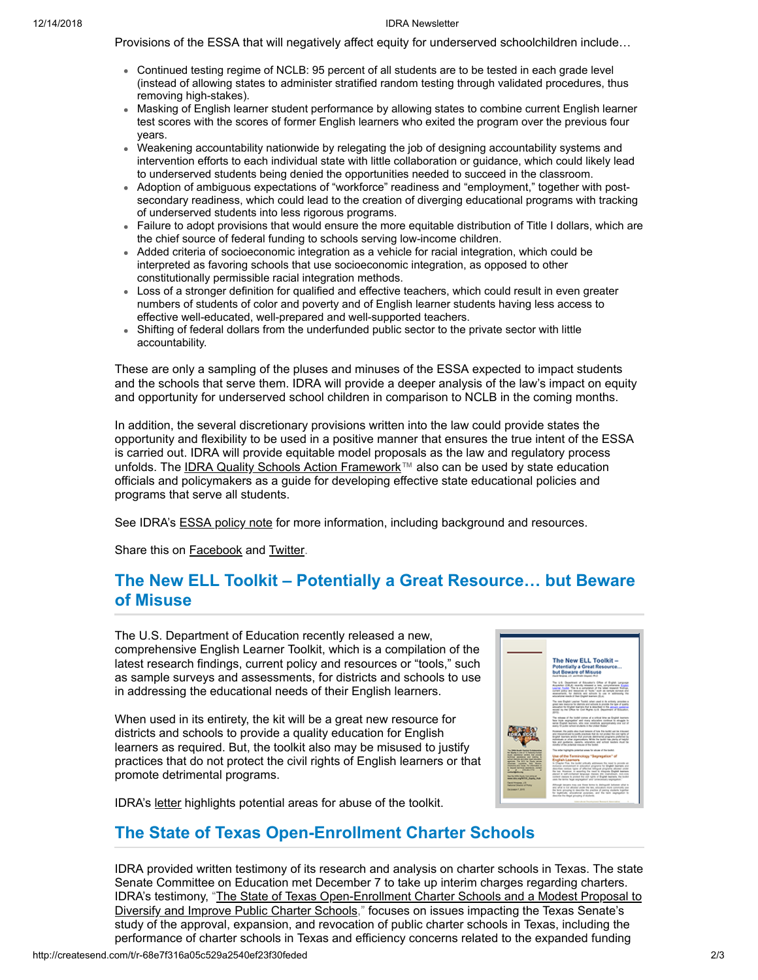#### 12/14/2018 IDRA Newsletter

Provisions of the ESSA that will negatively affect equity for underserved schoolchildren include…

- Continued testing regime of NCLB: 95 percent of all students are to be tested in each grade level (instead of allowing states to administer stratified random testing through validated procedures, thus removing high-stakes).
- Masking of English learner student performance by allowing states to combine current English learner test scores with the scores of former English learners who exited the program over the previous four years.
- Weakening accountability nationwide by relegating the job of designing accountability systems and intervention efforts to each individual state with little collaboration or guidance, which could likely lead to underserved students being denied the opportunities needed to succeed in the classroom.
- Adoption of ambiguous expectations of "workforce" readiness and "employment," together with postsecondary readiness, which could lead to the creation of diverging educational programs with tracking of underserved students into less rigorous programs.
- Failure to adopt provisions that would ensure the more equitable distribution of Title I dollars, which are the chief source of federal funding to schools serving low-income children.
- Added criteria of socioeconomic integration as a vehicle for racial integration, which could be interpreted as favoring schools that use socioeconomic integration, as opposed to other constitutionally permissible racial integration methods.
- Loss of a stronger definition for qualified and effective teachers, which could result in even greater numbers of students of color and poverty and of English learner students having less access to effective well-educated, well-prepared and well-supported teachers.
- Shifting of federal dollars from the underfunded public sector to the private sector with little accountability.

These are only a sampling of the pluses and minuses of the ESSA expected to impact students and the schools that serve them. IDRA will provide a deeper analysis of the law's impact on equity and opportunity for underserved school children in comparison to NCLB in the coming months.

In addition, the several discretionary provisions written into the law could provide states the opportunity and flexibility to be used in a positive manner that ensures the true intent of the ESSA is carried out. IDRA will provide equitable model proposals as the law and regulatory process unfolds. The <u>IDRA Quality Schools Action Framework</u>™ also can be used by state education officials and policymakers as a guide for developing effective state educational policies and programs that serve all students.

See IDRA's **[ESSA policy note](http://idra.createsend1.com/t/r-l-vpkhlt-l-d/)** for more information, including background and resources.

Share this on **[Facebook](http://createsend.com/t/r-fb-vpkhlt-l-x/?act=wv)** and **Twitter**.

# **The New ELL Toolkit – Potentially a Great Resource… but Beware of Misuse**

The U.S. Department of Education recently released a new, comprehensive English Learner Toolkit, which is a compilation of the latest research findings, current policy and resources or "tools," such as sample surveys and assessments, for districts and schools to use in addressing the educational needs of their English learners.

When used in its entirety, the kit will be a great new resource for districts and schools to provide a quality education for English learners as required. But, the toolkit also may be misused to justify practices that do not protect the civil rights of English learners or that promote detrimental programs.

IDRA's [letter](http://idra.createsend1.com/t/r-l-vpkhlt-l-o/) highlights potential areas for abuse of the toolkit.

## **The State of Texas Open-Enrollment Charter Schools**

IDRA provided written testimony of its research and analysis on charter schools in Texas. The state Senate Committee on Education met December 7 to take up interim charges regarding charters. IDRA's testimony, "The State of Texas Open-Enrollment Charter Schools and a Modest Proposal to [Diversify and Improve Public Charter Schools," focuses on issues impacting the Texas Senate's](http://idra.createsend1.com/t/r-l-vpkhlt-l-b/) study of the approval, expansion, and revocation of public charter schools in Texas, including the performance of charter schools in Texas and efficiency concerns related to the expanded funding

The New ELL Toolkit -